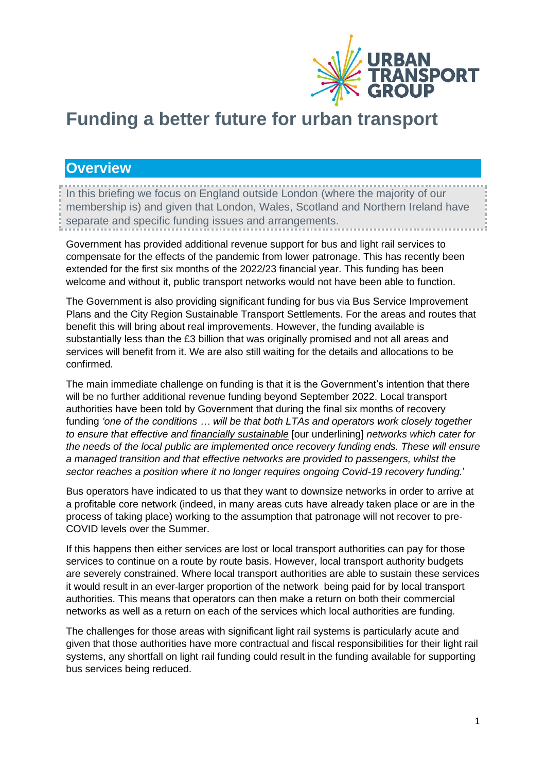

# **Funding a better future for urban transport**

## **Overview**

In this briefing we focus on England outside London (where the majority of our membership is) and given that London, Wales, Scotland and Northern Ireland have separate and specific funding issues and arrangements.

Government has provided additional revenue support for bus and light rail services to compensate for the effects of the pandemic from lower patronage. This has recently been extended for the first six months of the 2022/23 financial year. This funding has been welcome and without it, public transport networks would not have been able to function.

The Government is also providing significant funding for bus via Bus Service Improvement Plans and the City Region Sustainable Transport Settlements. For the areas and routes that benefit this will bring about real improvements. However, the funding available is substantially less than the £3 billion that was originally promised and not all areas and services will benefit from it. We are also still waiting for the details and allocations to be confirmed.

The main immediate challenge on funding is that it is the Government's intention that there will be no further additional revenue funding beyond September 2022. Local transport authorities have been told by Government that during the final six months of recovery funding *'one of the conditions … will be that both LTAs and operators work closely together to ensure that effective and financially sustainable* [our underlining] *networks which cater for the needs of the local public are implemented once recovery funding ends. These will ensure a managed transition and that effective networks are provided to passengers, whilst the sector reaches a position where it no longer requires ongoing Covid-19 recovery funding.*'

Bus operators have indicated to us that they want to downsize networks in order to arrive at a profitable core network (indeed, in many areas cuts have already taken place or are in the process of taking place) working to the assumption that patronage will not recover to pre-COVID levels over the Summer.

If this happens then either services are lost or local transport authorities can pay for those services to continue on a route by route basis. However, local transport authority budgets are severely constrained. Where local transport authorities are able to sustain these services it would result in an ever-larger proportion of the network being paid for by local transport authorities. This means that operators can then make a return on both their commercial networks as well as a return on each of the services which local authorities are funding.

The challenges for those areas with significant light rail systems is particularly acute and given that those authorities have more contractual and fiscal responsibilities for their light rail systems, any shortfall on light rail funding could result in the funding available for supporting bus services being reduced.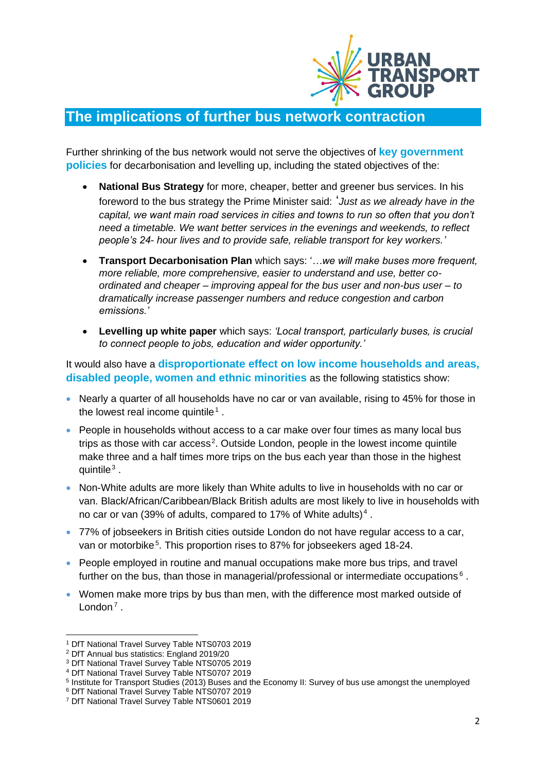

## **The implications of further bus network contraction**

Further shrinking of the bus network would not serve the objectives of **key government policies** for decarbonisation and levelling up, including the stated objectives of the:

- **National Bus Strategy** for more, cheaper, better and greener bus services. In his foreword to the bus strategy the Prime Minister said: '*Just as we already have in the capital, we want main road services in cities and towns to run so often that you don't need a timetable. We want better services in the evenings and weekends, to reflect people's 24- hour lives and to provide safe, reliable transport for key workers.'*
- **Transport Decarbonisation Plan** which says: '*…we will make buses more frequent, more reliable, more comprehensive, easier to understand and use, better coordinated and cheaper – improving appeal for the bus user and non-bus user – to dramatically increase passenger numbers and reduce congestion and carbon emissions.'*
- **Levelling up white paper** which says: *'Local transport, particularly buses, is crucial to connect people to jobs, education and wider opportunity.'*

It would also have a **disproportionate effect on low income households and areas, disabled people, women and ethnic minorities** as the following statistics show:

- Nearly a quarter of all households have no car or van available, rising to 45% for those in the lowest real income quintile.<sup>1</sup>.
- People in households without access to a car make over four times as many local bus trips as those with car access<sup>2</sup>. Outside London, people in the lowest income quintile make three and a half times more trips on the bus each year than those in the highest quintile $3$ .
- Non-White adults are more likely than White adults to live in households with no car or van. Black/African/Caribbean/Black British adults are most likely to live in households with no car or van (39% of adults, compared to 17% of White adults).<sup>4</sup>.
- 77% of jobseekers in British cities outside London do not have regular access to a car, van or motorbike<sup>5</sup>. This proportion rises to 87% for jobseekers aged 18-24.
- People employed in routine and manual occupations make more bus trips, and travel further on the bus, than those in managerial/professional or intermediate occupations. $6$ .
- Women make more trips by bus than men, with the difference most marked outside of London $^7$ .

<sup>1</sup> DfT National Travel Survey Table NTS0703 2019

<sup>2</sup> DfT Annual bus statistics: England 2019/20

<sup>3</sup> DfT National Travel Survey Table NTS0705 2019

<sup>4</sup> DfT National Travel Survey Table NTS0707 2019

<sup>&</sup>lt;sup>5</sup> Institute for Transport Studies (2013) Buses and the Economy II: Survey of bus use amongst the unemployed

<sup>6</sup> DfT National Travel Survey Table NTS0707 2019

<sup>7</sup> DfT National Travel Survey Table NTS0601 2019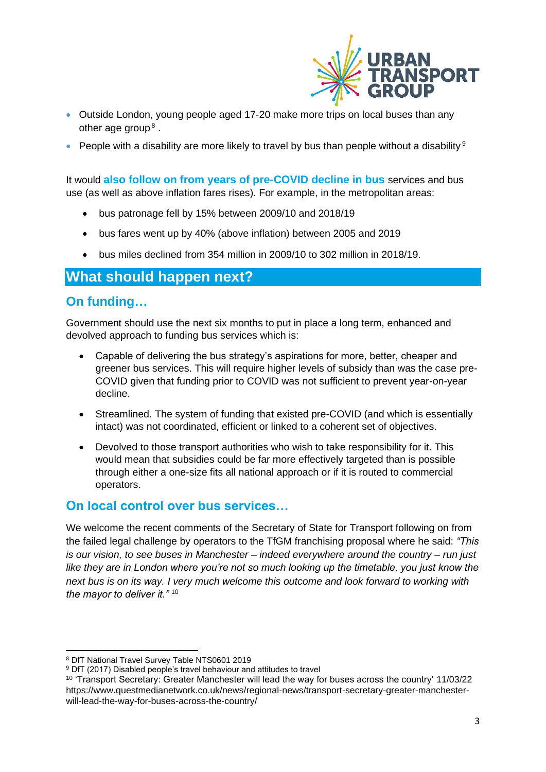

- Outside London, young people aged 17-20 make more trips on local buses than any other age group. $8$ .
- People with a disability are more likely to travel by bus than people without a disability.<sup>9</sup>

It would **also follow on from years of pre-COVID decline in bus** services and bus use (as well as above inflation fares rises). For example, in the metropolitan areas:

- bus patronage fell by 15% between 2009/10 and 2018/19
- bus fares went up by 40% (above inflation) between 2005 and 2019
- bus miles declined from 354 million in 2009/10 to 302 million in 2018/19.

## **What should happen next?**

#### **On funding…**

Government should use the next six months to put in place a long term, enhanced and devolved approach to funding bus services which is:

- Capable of delivering the bus strategy's aspirations for more, better, cheaper and greener bus services. This will require higher levels of subsidy than was the case pre-COVID given that funding prior to COVID was not sufficient to prevent year-on-year decline.
- Streamlined. The system of funding that existed pre-COVID (and which is essentially intact) was not coordinated, efficient or linked to a coherent set of objectives.
- Devolved to those transport authorities who wish to take responsibility for it. This would mean that subsidies could be far more effectively targeted than is possible through either a one-size fits all national approach or if it is routed to commercial operators.

#### **On local control over bus services…**

We welcome the recent comments of the Secretary of State for Transport following on from the failed legal challenge by operators to the TfGM franchising proposal where he said: *"This is our vision, to see buses in Manchester – indeed everywhere around the country – run just like they are in London where you're not so much looking up the timetable, you just know the next bus is on its way. I very much welcome this outcome and look forward to working with the mayor to deliver it."* <sup>10</sup>

<sup>8</sup> DfT National Travel Survey Table NTS0601 2019

<sup>&</sup>lt;sup>9</sup> DfT (2017) Disabled people's travel behaviour and attitudes to travel

<sup>10</sup> 'Transport Secretary: Greater Manchester will lead the way for buses across the country' 11/03/22 https://www.questmedianetwork.co.uk/news/regional-news/transport-secretary-greater-manchesterwill-lead-the-way-for-buses-across-the-country/